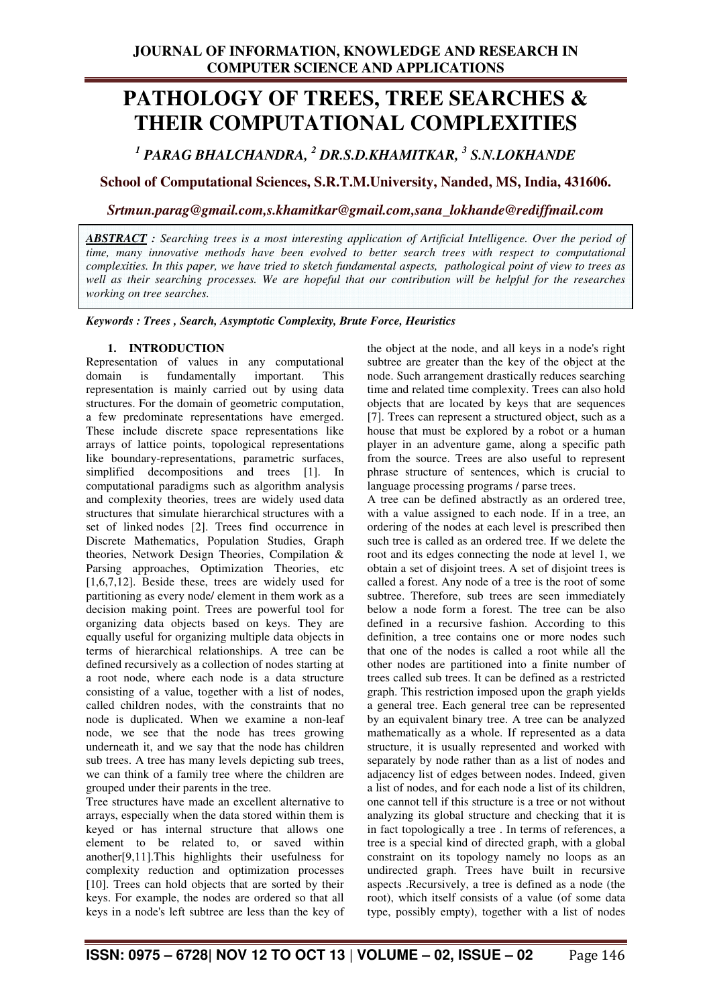# **PATHOLOGY OF TREES, TREE SEARCHES & THEIR COMPUTATIONAL COMPLEXITIES**

*1 PARAG BHALCHANDRA, <sup>2</sup> DR.S.D.KHAMITKAR, <sup>3</sup> S.N.LOKHANDE* 

# **School of Computational Sciences, S.R.T.M.University, Nanded, MS, India, 431606.**

*Srtmun.parag@gmail.com,s.khamitkar@gmail.com,sana\_lokhande@rediffmail.com*

*ABSTRACT : Searching trees is a most interesting application of Artificial Intelligence. Over the period of time, many innovative methods have been evolved to better search trees with respect to computational complexities. In this paper, we have tried to sketch fundamental aspects, pathological point of view to trees as well as their searching processes. We are hopeful that our contribution will be helpful for the researches working on tree searches.* 

*Keywords : Trees , Search, Asymptotic Complexity, Brute Force, Heuristics* 

## **1. INTRODUCTION**

Representation of values in any computational domain is fundamentally important. This representation is mainly carried out by using data structures. For the domain of geometric computation, a few predominate representations have emerged. These include discrete space representations like arrays of lattice points, topological representations like boundary-representations, parametric surfaces, simplified decompositions and trees [1]. In computational paradigms such as algorithm analysis and complexity theories, trees are widely used data structures that simulate hierarchical structures with a set of linked nodes [2]. Trees find occurrence in Discrete Mathematics, Population Studies, Graph theories, Network Design Theories, Compilation & Parsing approaches, Optimization Theories, etc [1,6,7,12]. Beside these, trees are widely used for partitioning as every node/ element in them work as a decision making point. Trees are powerful tool for organizing data objects based on keys. They are equally useful for organizing multiple data objects in terms of hierarchical relationships. A tree can be defined recursively as a collection of nodes starting at a root node, where each node is a data structure consisting of a value, together with a list of nodes, called children nodes, with the constraints that no node is duplicated. When we examine a non-leaf node, we see that the node has trees growing underneath it, and we say that the node has children sub trees. A tree has many levels depicting sub trees, we can think of a family tree where the children are grouped under their parents in the tree.

Tree structures have made an excellent alternative to arrays, especially when the data stored within them is keyed or has internal structure that allows one element to be related to, or saved within another[9,11].This highlights their usefulness for complexity reduction and optimization processes [10]. Trees can hold objects that are sorted by their keys. For example, the nodes are ordered so that all keys in a node's left subtree are less than the key of the object at the node, and all keys in a node's right subtree are greater than the key of the object at the node. Such arrangement drastically reduces searching time and related time complexity. Trees can also hold objects that are located by keys that are sequences [7]. Trees can represent a structured object, such as a house that must be explored by a robot or a human player in an adventure game, along a specific path from the source. Trees are also useful to represent phrase structure of sentences, which is crucial to language processing programs / parse trees.

A tree can be defined abstractly as an ordered tree, with a value assigned to each node. If in a tree, an ordering of the nodes at each level is prescribed then such tree is called as an ordered tree. If we delete the root and its edges connecting the node at level 1, we obtain a set of disjoint trees. A set of disjoint trees is called a forest. Any node of a tree is the root of some subtree. Therefore, sub trees are seen immediately below a node form a forest. The tree can be also defined in a recursive fashion. According to this definition, a tree contains one or more nodes such that one of the nodes is called a root while all the other nodes are partitioned into a finite number of trees called sub trees. It can be defined as a restricted graph. This restriction imposed upon the graph yields a general tree. Each general tree can be represented by an equivalent binary tree. A tree can be analyzed mathematically as a whole. If represented as a data structure, it is usually represented and worked with separately by node rather than as a list of nodes and adjacency list of edges between nodes. Indeed, given a list of nodes, and for each node a list of its children, one cannot tell if this structure is a tree or not without analyzing its global structure and checking that it is in fact topologically a tree . In terms of references, a tree is a special kind of directed graph, with a global constraint on its topology namely no loops as an undirected graph. Trees have built in recursive aspects .Recursively, a tree is defined as a node (the root), which itself consists of a value (of some data type, possibly empty), together with a list of nodes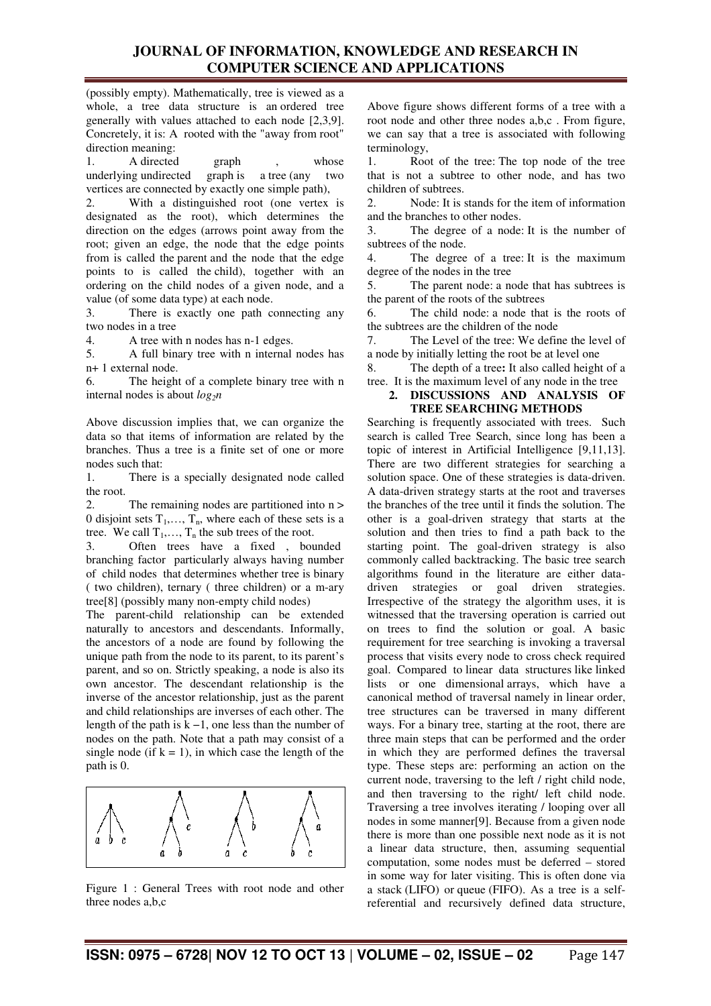(possibly empty). Mathematically, tree is viewed as a whole, a tree data structure is an ordered tree generally with values attached to each node [2,3,9]. Concretely, it is: A rooted with the "away from root" direction meaning:

1. A directed graph , whose underlying undirected graph is a tree (any two vertices are connected by exactly one simple path),

2. With a distinguished root (one vertex is designated as the root), which determines the direction on the edges (arrows point away from the root; given an edge, the node that the edge points from is called the parent and the node that the edge points to is called the child), together with an ordering on the child nodes of a given node, and a value (of some data type) at each node.

3. There is exactly one path connecting any two nodes in a tree

4. A tree with n nodes has n-1 edges.

5. A full binary tree with n internal nodes has n+ 1 external node.

6. The height of a complete binary tree with n internal nodes is about *log2n*

Above discussion implies that, we can organize the data so that items of information are related by the branches. Thus a tree is a finite set of one or more nodes such that:<br>1. There

There is a specially designated node called the root.

2. The remaining nodes are partitioned into n > 0 disjoint sets  $T_1, \ldots, T_n$ , where each of these sets is a tree. We call  $T_1, \ldots, T_n$  the sub trees of the root.

3. Often trees have a fixed , bounded branching factor particularly always having number of child nodes that determines whether tree is binary ( two children), ternary ( three children) or a m-ary tree[8] (possibly many non-empty child nodes)

The parent-child relationship can be extended naturally to ancestors and descendants. Informally, the ancestors of a node are found by following the unique path from the node to its parent, to its parent's parent, and so on. Strictly speaking, a node is also its own ancestor. The descendant relationship is the inverse of the ancestor relationship, just as the parent and child relationships are inverses of each other. The length of the path is k −1, one less than the number of nodes on the path. Note that a path may consist of a single node (if  $k = 1$ ), in which case the length of the path is 0.



Figure 1 : General Trees with root node and other three nodes a,b,c

Above figure shows different forms of a tree with a root node and other three nodes a,b,c . From figure, we can say that a tree is associated with following terminology,

1. Root of the tree: The top node of the tree that is not a subtree to other node, and has two children of subtrees.

2. Node: It is stands for the item of information and the branches to other nodes.

3. The degree of a node: It is the number of subtrees of the node.

4. The degree of a tree: It is the maximum degree of the nodes in the tree

5. The parent node: a node that has subtrees is the parent of the roots of the subtrees

6. The child node: a node that is the roots of the subtrees are the children of the node

7. The Level of the tree: We define the level of a node by initially letting the root be at level one

8. The depth of a tree**:** It also called height of a tree. It is the maximum level of any node in the tree

#### **2. DISCUSSIONS AND ANALYSIS OF TREE SEARCHING METHODS**

Searching is frequently associated with trees. Such search is called Tree Search, since long has been a topic of interest in Artificial Intelligence [9,11,13]. There are two different strategies for searching a solution space. One of these strategies is data-driven. A data-driven strategy starts at the root and traverses the branches of the tree until it finds the solution. The other is a goal-driven strategy that starts at the solution and then tries to find a path back to the starting point. The goal-driven strategy is also commonly called backtracking. The basic tree search algorithms found in the literature are either datadriven strategies or goal driven strategies. Irrespective of the strategy the algorithm uses, it is witnessed that the traversing operation is carried out on trees to find the solution or goal. A basic requirement for tree searching is invoking a traversal process that visits every node to cross check required goal. Compared to linear data structures like linked lists or one dimensional arrays, which have a canonical method of traversal namely in linear order, tree structures can be traversed in many different ways. For a binary tree, starting at the root, there are three main steps that can be performed and the order in which they are performed defines the traversal type. These steps are: performing an action on the current node, traversing to the left / right child node, and then traversing to the right/ left child node. Traversing a tree involves iterating / looping over all nodes in some manner[9]. Because from a given node there is more than one possible next node as it is not a linear data structure, then, assuming sequential computation, some nodes must be deferred – stored in some way for later visiting. This is often done via a stack (LIFO) or queue (FIFO). As a tree is a selfreferential and recursively defined data structure,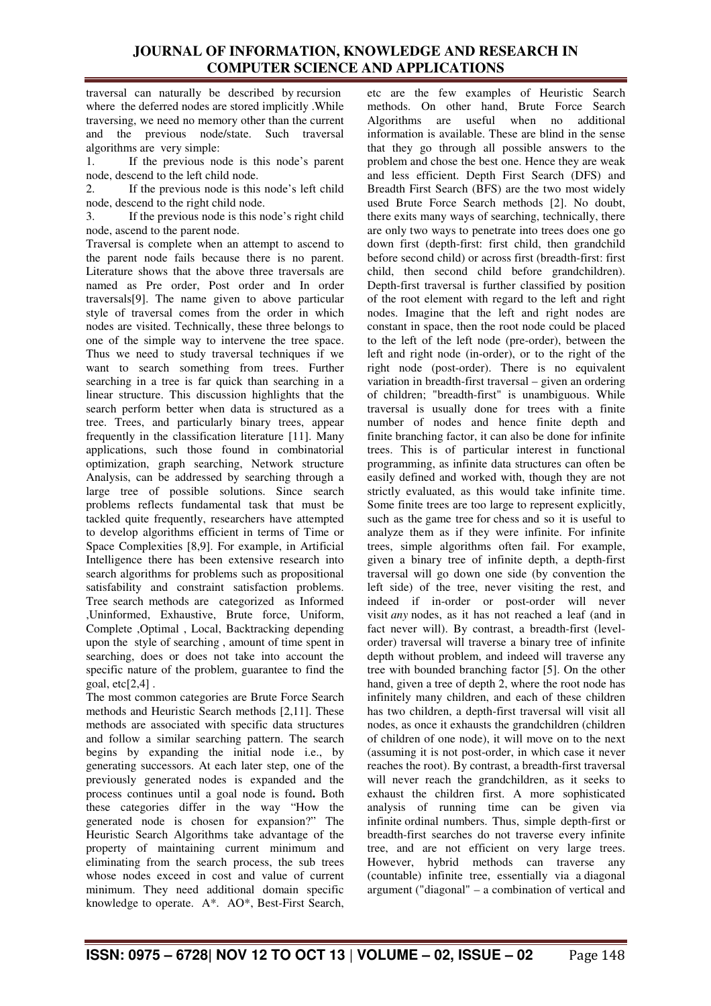traversal can naturally be described by recursion where the deferred nodes are stored implicitly .While traversing, we need no memory other than the current and the previous node/state. Such traversal algorithms are very simple:

1. If the previous node is this node's parent node, descend to the left child node.

2. If the previous node is this node's left child node, descend to the right child node.

3. If the previous node is this node's right child node, ascend to the parent node.

Traversal is complete when an attempt to ascend to the parent node fails because there is no parent. Literature shows that the above three traversals are named as Pre order, Post order and In order traversals[9]. The name given to above particular style of traversal comes from the order in which nodes are visited. Technically, these three belongs to one of the simple way to intervene the tree space. Thus we need to study traversal techniques if we want to search something from trees. Further searching in a tree is far quick than searching in a linear structure. This discussion highlights that the search perform better when data is structured as a tree. Trees, and particularly binary trees, appear frequently in the classification literature [11]. Many applications, such those found in combinatorial optimization, graph searching, Network structure Analysis, can be addressed by searching through a large tree of possible solutions. Since search problems reflects fundamental task that must be tackled quite frequently, researchers have attempted to develop algorithms efficient in terms of Time or Space Complexities [8,9]. For example, in Artificial Intelligence there has been extensive research into search algorithms for problems such as propositional satisfability and constraint satisfaction problems. Tree search methods are categorized as Informed ,Uninformed, Exhaustive, Brute force, Uniform, Complete ,Optimal , Local, Backtracking depending upon the style of searching , amount of time spent in searching, does or does not take into account the specific nature of the problem, guarantee to find the goal,  $etc[2.4]$ .

The most common categories are Brute Force Search methods and Heuristic Search methods [2,11]. These methods are associated with specific data structures and follow a similar searching pattern. The search begins by expanding the initial node i.e., by generating successors. At each later step, one of the previously generated nodes is expanded and the process continues until a goal node is found**.** Both these categories differ in the way "How the generated node is chosen for expansion?" The Heuristic Search Algorithms take advantage of the property of maintaining current minimum and eliminating from the search process, the sub trees whose nodes exceed in cost and value of current minimum. They need additional domain specific knowledge to operate. A\*. AO\*, Best-First Search,

etc are the few examples of Heuristic Search methods. On other hand, Brute Force Search Algorithms are useful when no additional information is available. These are blind in the sense that they go through all possible answers to the problem and chose the best one. Hence they are weak and less efficient. Depth First Search (DFS) and Breadth First Search (BFS) are the two most widely used Brute Force Search methods [2]. No doubt, there exits many ways of searching, technically, there are only two ways to penetrate into trees does one go down first (depth-first: first child, then grandchild before second child) or across first (breadth-first: first child, then second child before grandchildren). Depth-first traversal is further classified by position of the root element with regard to the left and right nodes. Imagine that the left and right nodes are constant in space, then the root node could be placed to the left of the left node (pre-order), between the left and right node (in-order), or to the right of the right node (post-order). There is no equivalent variation in breadth-first traversal – given an ordering of children; "breadth-first" is unambiguous. While traversal is usually done for trees with a finite number of nodes and hence finite depth and finite branching factor, it can also be done for infinite trees. This is of particular interest in functional programming, as infinite data structures can often be easily defined and worked with, though they are not strictly evaluated, as this would take infinite time. Some finite trees are too large to represent explicitly, such as the game tree for chess and so it is useful to analyze them as if they were infinite. For infinite trees, simple algorithms often fail. For example, given a binary tree of infinite depth, a depth-first traversal will go down one side (by convention the left side) of the tree, never visiting the rest, and indeed if in-order or post-order will never visit *any* nodes, as it has not reached a leaf (and in fact never will). By contrast, a breadth-first (levelorder) traversal will traverse a binary tree of infinite depth without problem, and indeed will traverse any tree with bounded branching factor [5]. On the other hand, given a tree of depth 2, where the root node has infinitely many children, and each of these children has two children, a depth-first traversal will visit all nodes, as once it exhausts the grandchildren (children of children of one node), it will move on to the next (assuming it is not post-order, in which case it never reaches the root). By contrast, a breadth-first traversal will never reach the grandchildren, as it seeks to exhaust the children first. A more sophisticated analysis of running time can be given via infinite ordinal numbers. Thus, simple depth-first or breadth-first searches do not traverse every infinite tree, and are not efficient on very large trees. However, hybrid methods can traverse any (countable) infinite tree, essentially via a diagonal argument ("diagonal" – a combination of vertical and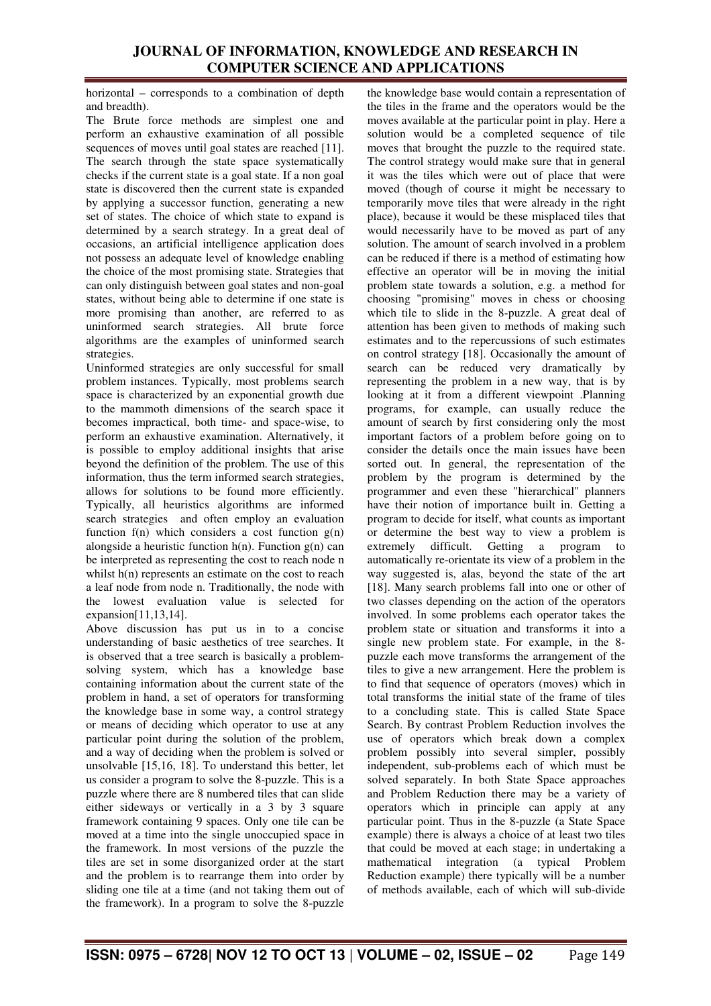horizontal – corresponds to a combination of depth and breadth).

The Brute force methods are simplest one and perform an exhaustive examination of all possible sequences of moves until goal states are reached [11]. The search through the state space systematically checks if the current state is a goal state. If a non goal state is discovered then the current state is expanded by applying a successor function, generating a new set of states. The choice of which state to expand is determined by a search strategy. In a great deal of occasions, an artificial intelligence application does not possess an adequate level of knowledge enabling the choice of the most promising state. Strategies that can only distinguish between goal states and non-goal states, without being able to determine if one state is more promising than another, are referred to as uninformed search strategies. All brute force algorithms are the examples of uninformed search strategies.

Uninformed strategies are only successful for small problem instances. Typically, most problems search space is characterized by an exponential growth due to the mammoth dimensions of the search space it becomes impractical, both time- and space-wise, to perform an exhaustive examination. Alternatively, it is possible to employ additional insights that arise beyond the definition of the problem. The use of this information, thus the term informed search strategies, allows for solutions to be found more efficiently. Typically, all heuristics algorithms are informed search strategies and often employ an evaluation function  $f(n)$  which considers a cost function  $g(n)$ alongside a heuristic function  $h(n)$ . Function  $g(n)$  can be interpreted as representing the cost to reach node n whilst h(n) represents an estimate on the cost to reach a leaf node from node n. Traditionally, the node with the lowest evaluation value is selected for expansion[11,13,14].

Above discussion has put us in to a concise understanding of basic aesthetics of tree searches. It is observed that a tree search is basically a problemsolving system, which has a knowledge base containing information about the current state of the problem in hand, a set of operators for transforming the knowledge base in some way, a control strategy or means of deciding which operator to use at any particular point during the solution of the problem, and a way of deciding when the problem is solved or unsolvable [15,16, 18]. To understand this better, let us consider a program to solve the 8-puzzle. This is a puzzle where there are 8 numbered tiles that can slide either sideways or vertically in a 3 by 3 square framework containing 9 spaces. Only one tile can be moved at a time into the single unoccupied space in the framework. In most versions of the puzzle the tiles are set in some disorganized order at the start and the problem is to rearrange them into order by sliding one tile at a time (and not taking them out of the framework). In a program to solve the 8-puzzle

the knowledge base would contain a representation of the tiles in the frame and the operators would be the moves available at the particular point in play. Here a solution would be a completed sequence of tile moves that brought the puzzle to the required state. The control strategy would make sure that in general it was the tiles which were out of place that were moved (though of course it might be necessary to temporarily move tiles that were already in the right place), because it would be these misplaced tiles that would necessarily have to be moved as part of any solution. The amount of search involved in a problem can be reduced if there is a method of estimating how effective an operator will be in moving the initial problem state towards a solution, e.g. a method for choosing "promising" moves in chess or choosing which tile to slide in the 8-puzzle. A great deal of attention has been given to methods of making such estimates and to the repercussions of such estimates on control strategy [18]. Occasionally the amount of search can be reduced very dramatically by representing the problem in a new way, that is by looking at it from a different viewpoint .Planning programs, for example, can usually reduce the amount of search by first considering only the most important factors of a problem before going on to consider the details once the main issues have been sorted out. In general, the representation of the problem by the program is determined by the programmer and even these "hierarchical" planners have their notion of importance built in. Getting a program to decide for itself, what counts as important or determine the best way to view a problem is extremely difficult. Getting a program to automatically re-orientate its view of a problem in the way suggested is, alas, beyond the state of the art [18]. Many search problems fall into one or other of two classes depending on the action of the operators involved. In some problems each operator takes the problem state or situation and transforms it into a single new problem state. For example, in the 8 puzzle each move transforms the arrangement of the tiles to give a new arrangement. Here the problem is to find that sequence of operators (moves) which in total transforms the initial state of the frame of tiles to a concluding state. This is called State Space Search. By contrast Problem Reduction involves the use of operators which break down a complex problem possibly into several simpler, possibly independent, sub-problems each of which must be solved separately. In both State Space approaches and Problem Reduction there may be a variety of operators which in principle can apply at any particular point. Thus in the 8-puzzle (a State Space example) there is always a choice of at least two tiles that could be moved at each stage; in undertaking a mathematical integration (a typical Problem Reduction example) there typically will be a number of methods available, each of which will sub-divide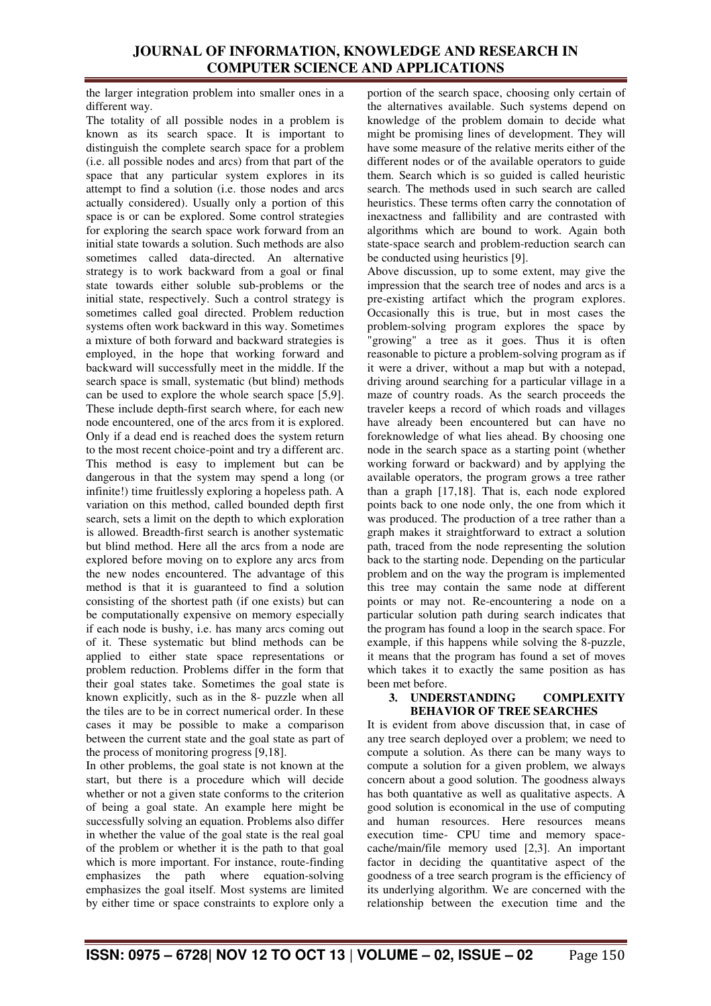the larger integration problem into smaller ones in a different way.

The totality of all possible nodes in a problem is known as its search space. It is important to distinguish the complete search space for a problem (i.e. all possible nodes and arcs) from that part of the space that any particular system explores in its attempt to find a solution (i.e. those nodes and arcs actually considered). Usually only a portion of this space is or can be explored. Some control strategies for exploring the search space work forward from an initial state towards a solution. Such methods are also sometimes called data-directed. An alternative strategy is to work backward from a goal or final state towards either soluble sub-problems or the initial state, respectively. Such a control strategy is sometimes called goal directed. Problem reduction systems often work backward in this way. Sometimes a mixture of both forward and backward strategies is employed, in the hope that working forward and backward will successfully meet in the middle. If the search space is small, systematic (but blind) methods can be used to explore the whole search space [5,9]. These include depth-first search where, for each new node encountered, one of the arcs from it is explored. Only if a dead end is reached does the system return to the most recent choice-point and try a different arc. This method is easy to implement but can be dangerous in that the system may spend a long (or infinite!) time fruitlessly exploring a hopeless path. A variation on this method, called bounded depth first search, sets a limit on the depth to which exploration is allowed. Breadth-first search is another systematic but blind method. Here all the arcs from a node are explored before moving on to explore any arcs from the new nodes encountered. The advantage of this method is that it is guaranteed to find a solution consisting of the shortest path (if one exists) but can be computationally expensive on memory especially if each node is bushy, i.e. has many arcs coming out of it. These systematic but blind methods can be applied to either state space representations or problem reduction. Problems differ in the form that their goal states take. Sometimes the goal state is known explicitly, such as in the 8- puzzle when all the tiles are to be in correct numerical order. In these cases it may be possible to make a comparison between the current state and the goal state as part of the process of monitoring progress [9,18].

In other problems, the goal state is not known at the start, but there is a procedure which will decide whether or not a given state conforms to the criterion of being a goal state. An example here might be successfully solving an equation. Problems also differ in whether the value of the goal state is the real goal of the problem or whether it is the path to that goal which is more important. For instance, route-finding emphasizes the path where equation-solving emphasizes the goal itself. Most systems are limited by either time or space constraints to explore only a portion of the search space, choosing only certain of the alternatives available. Such systems depend on knowledge of the problem domain to decide what might be promising lines of development. They will have some measure of the relative merits either of the different nodes or of the available operators to guide them. Search which is so guided is called heuristic search. The methods used in such search are called heuristics. These terms often carry the connotation of inexactness and fallibility and are contrasted with algorithms which are bound to work. Again both state-space search and problem-reduction search can be conducted using heuristics [9].

Above discussion, up to some extent, may give the impression that the search tree of nodes and arcs is a pre-existing artifact which the program explores. Occasionally this is true, but in most cases the problem-solving program explores the space by 'growing" a tree as it goes. Thus it is often reasonable to picture a problem-solving program as if it were a driver, without a map but with a notepad, driving around searching for a particular village in a maze of country roads. As the search proceeds the traveler keeps a record of which roads and villages have already been encountered but can have no foreknowledge of what lies ahead. By choosing one node in the search space as a starting point (whether working forward or backward) and by applying the available operators, the program grows a tree rather than a graph [17,18]. That is, each node explored points back to one node only, the one from which it was produced. The production of a tree rather than a graph makes it straightforward to extract a solution path, traced from the node representing the solution back to the starting node. Depending on the particular problem and on the way the program is implemented this tree may contain the same node at different points or may not. Re-encountering a node on a particular solution path during search indicates that the program has found a loop in the search space. For example, if this happens while solving the 8-puzzle, it means that the program has found a set of moves which takes it to exactly the same position as has been met before.

#### **3. UNDERSTANDING COMPLEXITY BEHAVIOR OF TREE SEARCHES**

It is evident from above discussion that, in case of any tree search deployed over a problem; we need to compute a solution. As there can be many ways to compute a solution for a given problem, we always concern about a good solution. The goodness always has both quantative as well as qualitative aspects. A good solution is economical in the use of computing and human resources. Here resources means execution time- CPU time and memory spacecache/main/file memory used [2,3]. An important factor in deciding the quantitative aspect of the goodness of a tree search program is the efficiency of its underlying algorithm. We are concerned with the relationship between the execution time and the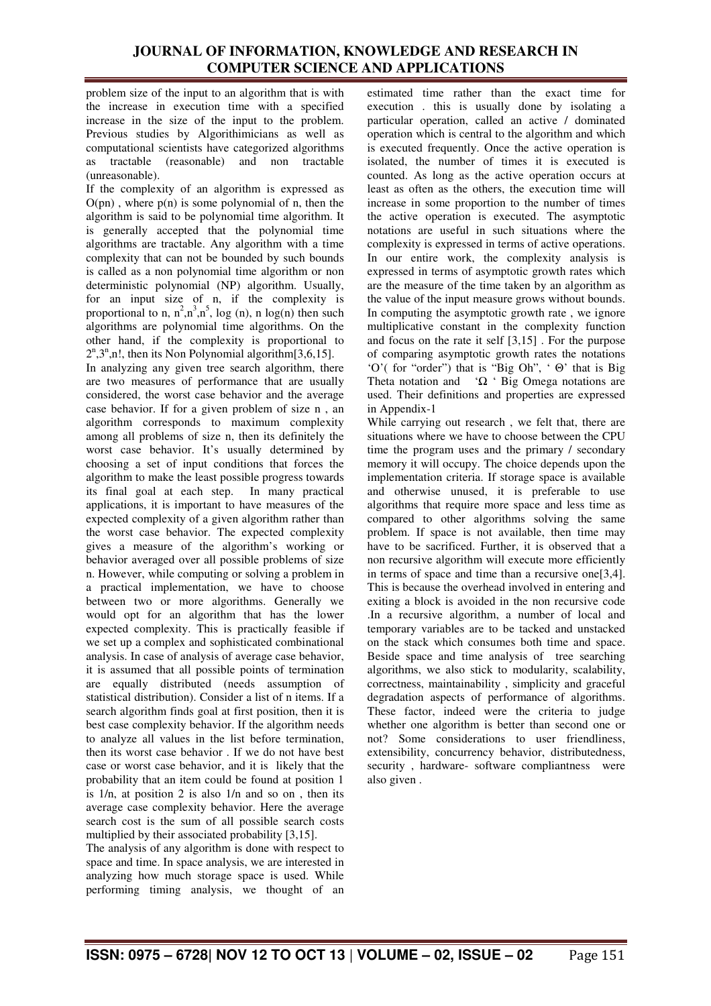problem size of the input to an algorithm that is with the increase in execution time with a specified increase in the size of the input to the problem. Previous studies by Algorithimicians as well as computational scientists have categorized algorithms as tractable (reasonable) and non tractable (unreasonable).

If the complexity of an algorithm is expressed as  $O(pn)$ , where  $p(n)$  is some polynomial of n, then the algorithm is said to be polynomial time algorithm. It is generally accepted that the polynomial time algorithms are tractable. Any algorithm with a time complexity that can not be bounded by such bounds is called as a non polynomial time algorithm or non deterministic polynomial (NP) algorithm. Usually, for an input size of n, if the complexity is proportional to n,  $n^2$ ,  $n^3$ ,  $n^5$ , log (n), n log(n) then such algorithms are polynomial time algorithms. On the other hand, if the complexity is proportional to  $2<sup>n</sup>,3<sup>n</sup>,n!$ , then its Non Polynomial algorithm $[3,6,15]$ .

In analyzing any given tree search algorithm, there are two measures of performance that are usually considered, the worst case behavior and the average case behavior. If for a given problem of size n , an algorithm corresponds to maximum complexity among all problems of size n, then its definitely the worst case behavior. It's usually determined by choosing a set of input conditions that forces the algorithm to make the least possible progress towards its final goal at each step. In many practical applications, it is important to have measures of the expected complexity of a given algorithm rather than the worst case behavior. The expected complexity gives a measure of the algorithm's working or behavior averaged over all possible problems of size n. However, while computing or solving a problem in a practical implementation, we have to choose between two or more algorithms. Generally we would opt for an algorithm that has the lower expected complexity. This is practically feasible if we set up a complex and sophisticated combinational analysis. In case of analysis of average case behavior, it is assumed that all possible points of termination are equally distributed (needs assumption of statistical distribution). Consider a list of n items. If a search algorithm finds goal at first position, then it is best case complexity behavior. If the algorithm needs to analyze all values in the list before termination, then its worst case behavior . If we do not have best case or worst case behavior, and it is likely that the probability that an item could be found at position 1 is 1/n, at position 2 is also 1/n and so on , then its average case complexity behavior. Here the average search cost is the sum of all possible search costs multiplied by their associated probability [3,15].

The analysis of any algorithm is done with respect to space and time. In space analysis, we are interested in analyzing how much storage space is used. While performing timing analysis, we thought of an estimated time rather than the exact time for execution . this is usually done by isolating a particular operation, called an active / dominated operation which is central to the algorithm and which is executed frequently. Once the active operation is isolated, the number of times it is executed is counted. As long as the active operation occurs at least as often as the others, the execution time will increase in some proportion to the number of times the active operation is executed. The asymptotic notations are useful in such situations where the complexity is expressed in terms of active operations. In our entire work, the complexity analysis is expressed in terms of asymptotic growth rates which are the measure of the time taken by an algorithm as the value of the input measure grows without bounds. In computing the asymptotic growth rate , we ignore multiplicative constant in the complexity function and focus on the rate it self [3,15] . For the purpose of comparing asymptotic growth rates the notations 'O'( for "order") that is "Big Oh", ' Θ' that is Big Theta notation and ' $\Omega$  ' Big Omega notations are used. Their definitions and properties are expressed in Appendix-1

While carrying out research , we felt that, there are situations where we have to choose between the CPU time the program uses and the primary / secondary memory it will occupy. The choice depends upon the implementation criteria. If storage space is available and otherwise unused, it is preferable to use algorithms that require more space and less time as compared to other algorithms solving the same problem. If space is not available, then time may have to be sacrificed. Further, it is observed that a non recursive algorithm will execute more efficiently in terms of space and time than a recursive one[3,4]. This is because the overhead involved in entering and exiting a block is avoided in the non recursive code .In a recursive algorithm, a number of local and temporary variables are to be tacked and unstacked on the stack which consumes both time and space. Beside space and time analysis of tree searching algorithms, we also stick to modularity, scalability, correctness, maintainability , simplicity and graceful degradation aspects of performance of algorithms. These factor, indeed were the criteria to judge whether one algorithm is better than second one or not? Some considerations to user friendliness, extensibility, concurrency behavior, distributedness, security , hardware- software compliantness were also given .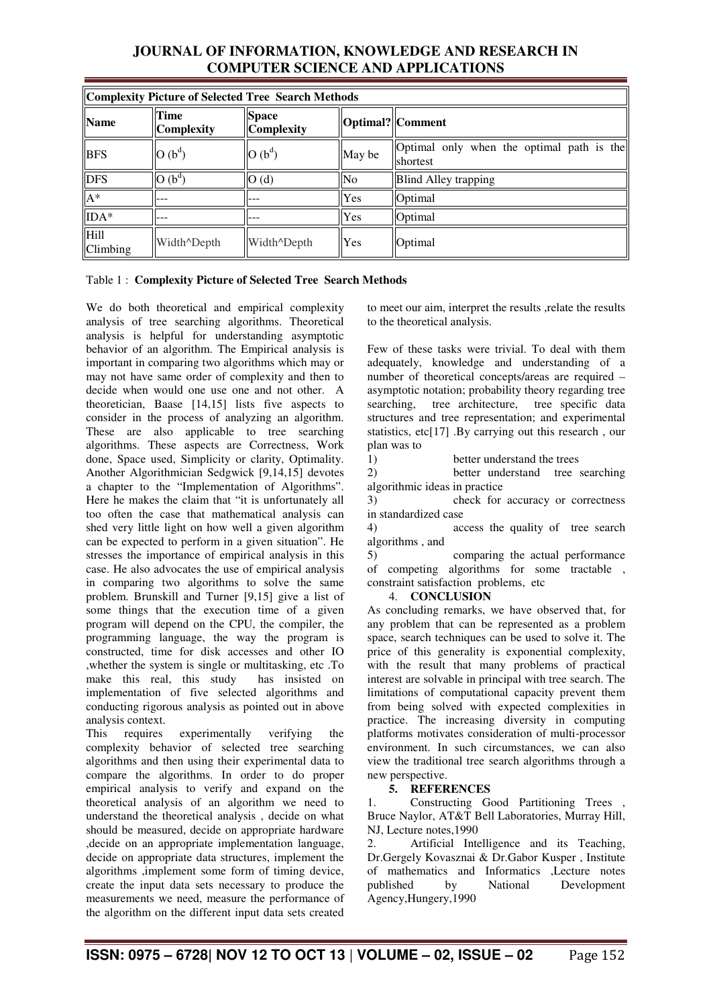| <b>Complexity Picture of Selected Tree Search Methods</b> |                           |                                   |        |                                                       |
|-----------------------------------------------------------|---------------------------|-----------------------------------|--------|-------------------------------------------------------|
| <b>Name</b>                                               | Time<br><b>Complexity</b> | <b>Space</b><br><b>Complexity</b> |        | Optimal?  Comment                                     |
| <b>BFS</b>                                                | $O(b^d)$                  | $\vert$ O (b <sup>d</sup> )       | May be | Optimal only when the optimal path is the<br>shortest |
| <b>DFS</b>                                                | $O(b^d)$                  | O(d)                              | No     | <b>Blind Alley trapping</b>                           |
| $A^*$                                                     |                           | ---                               | Yes    | Optimal                                               |
| $IDA*$                                                    |                           | ---                               | Yes    | Optimal                                               |
| Hill<br>Climbing                                          | Width^Depth               | Width^Depth                       | Yes    | Optimal                                               |

## Table 1 : **Complexity Picture of Selected Tree Search Methods**

We do both theoretical and empirical complexity analysis of tree searching algorithms. Theoretical analysis is helpful for understanding asymptotic behavior of an algorithm. The Empirical analysis is important in comparing two algorithms which may or may not have same order of complexity and then to decide when would one use one and not other. A theoretician, Baase [14,15] lists five aspects to consider in the process of analyzing an algorithm. These are also applicable to tree searching algorithms. These aspects are Correctness, Work done, Space used, Simplicity or clarity, Optimality. Another Algorithmician Sedgwick [9,14,15] devotes a chapter to the "Implementation of Algorithms". Here he makes the claim that "it is unfortunately all too often the case that mathematical analysis can shed very little light on how well a given algorithm can be expected to perform in a given situation". He stresses the importance of empirical analysis in this case. He also advocates the use of empirical analysis in comparing two algorithms to solve the same problem. Brunskill and Turner [9,15] give a list of some things that the execution time of a given program will depend on the CPU, the compiler, the programming language, the way the program is constructed, time for disk accesses and other IO ,whether the system is single or multitasking, etc .To make this real, this study has insisted on implementation of five selected algorithms and conducting rigorous analysis as pointed out in above analysis context.

This requires experimentally verifying the complexity behavior of selected tree searching algorithms and then using their experimental data to compare the algorithms. In order to do proper empirical analysis to verify and expand on the theoretical analysis of an algorithm we need to understand the theoretical analysis , decide on what should be measured, decide on appropriate hardware ,decide on an appropriate implementation language, decide on appropriate data structures, implement the algorithms ,implement some form of timing device, create the input data sets necessary to produce the measurements we need, measure the performance of the algorithm on the different input data sets created to meet our aim, interpret the results , relate the results to the theoretical analysis.

Few of these tasks were trivial. To deal with them adequately, knowledge and understanding of a number of theoretical concepts/areas are required – asymptotic notation; probability theory regarding tree searching, tree architecture, tree specific data structures and tree representation; and experimental statistics, etc[17] .By carrying out this research , our plan was to

1) better understand the trees

2) better understand tree searching algorithmic ideas in practice

3) check for accuracy or correctness in standardized case

4) access the quality of tree search algorithms , and

5) comparing the actual performance of competing algorithms for some tractable , constraint satisfaction problems, etc

## 4. **CONCLUSION**

As concluding remarks, we have observed that, for any problem that can be represented as a problem space, search techniques can be used to solve it. The price of this generality is exponential complexity, with the result that many problems of practical interest are solvable in principal with tree search. The limitations of computational capacity prevent them from being solved with expected complexities in practice. The increasing diversity in computing platforms motivates consideration of multi-processor environment. In such circumstances, we can also view the traditional tree search algorithms through a new perspective.

## **5. REFERENCES**

1. Constructing Good Partitioning Trees , Bruce Naylor, AT&T Bell Laboratories, Murray Hill, NJ, Lecture notes,1990

2. Artificial Intelligence and its Teaching, Dr.Gergely Kovasznai & Dr.Gabor Kusper , Institute of mathematics and Informatics ,Lecture notes<br>nublished by National Development published by National Development Agency,Hungery,1990